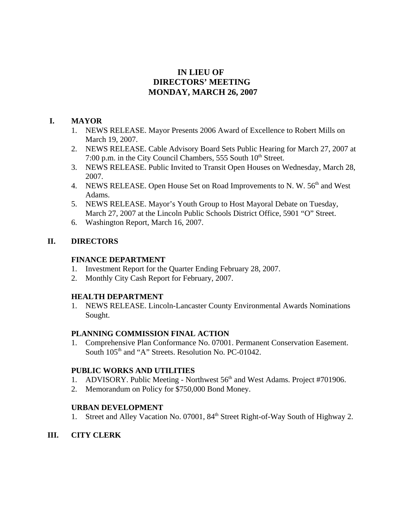# **IN LIEU OF DIRECTORS' MEETING MONDAY, MARCH 26, 2007**

## **I. MAYOR**

- 1. NEWS RELEASE. Mayor Presents 2006 Award of Excellence to Robert Mills on March 19, 2007.
- 2. NEWS RELEASE. Cable Advisory Board Sets Public Hearing for March 27, 2007 at 7:00 p.m. in the City Council Chambers, 555 South  $10<sup>th</sup>$  Street.
- 3. NEWS RELEASE. Public Invited to Transit Open Houses on Wednesday, March 28, 2007.
- 4. NEWS RELEASE. Open House Set on Road Improvements to N. W. 56<sup>th</sup> and West Adams.
- 5. NEWS RELEASE. Mayor's Youth Group to Host Mayoral Debate on Tuesday, March 27, 2007 at the Lincoln Public Schools District Office, 5901 "O" Street.
- 6. Washington Report, March 16, 2007.

# **II. DIRECTORS**

## **FINANCE DEPARTMENT**

- 1. Investment Report for the Quarter Ending February 28, 2007.
- 2. Monthly City Cash Report for February, 2007.

## **HEALTH DEPARTMENT**

1. NEWS RELEASE. Lincoln-Lancaster County Environmental Awards Nominations Sought.

## **PLANNING COMMISSION FINAL ACTION**

1. Comprehensive Plan Conformance No. 07001. Permanent Conservation Easement. South  $105<sup>th</sup>$  and "A" Streets. Resolution No. PC-01042.

## **PUBLIC WORKS AND UTILITIES**

- 1. ADVISORY. Public Meeting Northwest  $56<sup>th</sup>$  and West Adams. Project #701906.
- 2. Memorandum on Policy for \$750,000 Bond Money.

# **URBAN DEVELOPMENT**

1. Street and Alley Vacation No. 07001, 84<sup>th</sup> Street Right-of-Way South of Highway 2.

# **III. CITY CLERK**